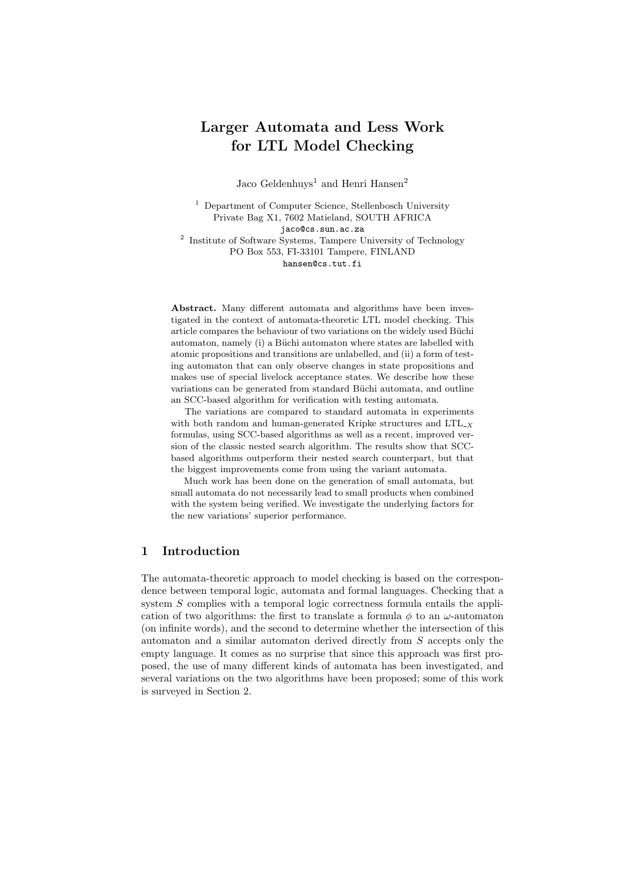# Larger Automata and Less Work for LTL Model Checking

Jaco Geldenhuys<sup>1</sup> and Henri Hansen<sup>2</sup>

<sup>1</sup> Department of Computer Science, Stellenbosch University Private Bag X1, 7602 Matieland, SOUTH AFRICA jaco@cs.sun.ac.za <sup>2</sup> Institute of Software Systems, Tampere University of Technology PO Box 553, FI-33101 Tampere, FINLAND hansen@cs.tut.fi

Abstract. Many different automata and algorithms have been investigated in the context of automata-theoretic LTL model checking. This article compares the behaviour of two variations on the widely used Büchi automaton, namely (i) a Büchi automaton where states are labelled with atomic propositions and transitions are unlabelled, and (ii) a form of testing automaton that can only observe changes in state propositions and makes use of special livelock acceptance states. We describe how these variations can be generated from standard Büchi automata, and outline an SCC-based algorithm for verification with testing automata.

The variations are compared to standard automata in experiments with both random and human-generated Kripke structures and  $LTL_x$ formulas, using SCC-based algorithms as well as a recent, improved version of the classic nested search algorithm. The results show that SCCbased algorithms outperform their nested search counterpart, but that the biggest improvements come from using the variant automata.

Much work has been done on the generation of small automata, but small automata do not necessarily lead to small products when combined with the system being verified. We investigate the underlying factors for the new variations' superior performance.

## 1 Introduction

The automata-theoretic approach to model checking is based on the correspondence between temporal logic, automata and formal languages. Checking that a system S complies with a temporal logic correctness formula entails the application of two algorithms: the first to translate a formula  $\phi$  to an  $\omega$ -automaton (on infinite words), and the second to determine whether the intersection of this automaton and a similar automaton derived directly from S accepts only the empty language. It comes as no surprise that since this approach was first proposed, the use of many different kinds of automata has been investigated, and several variations on the two algorithms have been proposed; some of this work is surveyed in Section 2.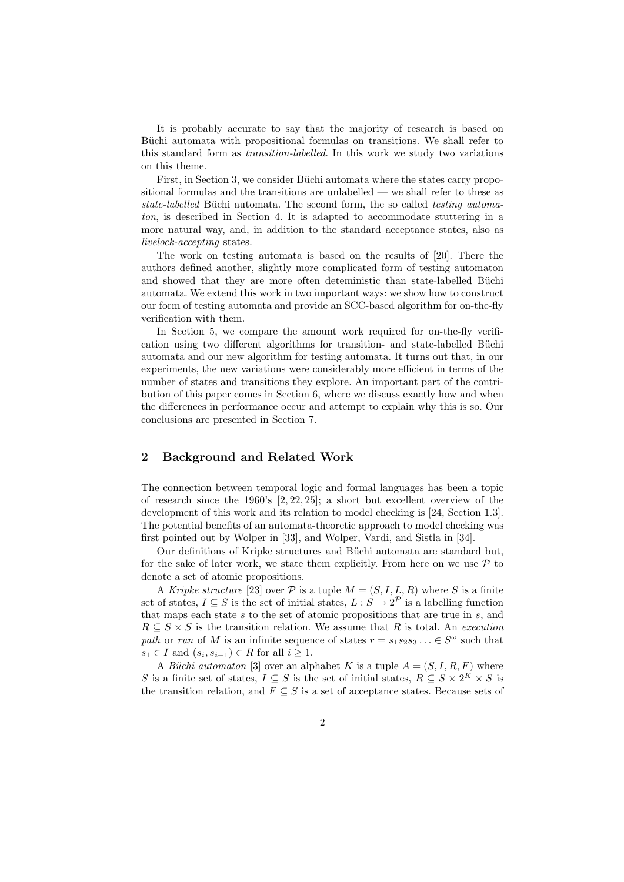It is probably accurate to say that the majority of research is based on Büchi automata with propositional formulas on transitions. We shall refer to this standard form as transition-labelled. In this work we study two variations on this theme.

First, in Section 3, we consider Büchi automata where the states carry propositional formulas and the transitions are unlabelled — we shall refer to these as state-labelled Büchi automata. The second form, the so called testing automaton, is described in Section 4. It is adapted to accommodate stuttering in a more natural way, and, in addition to the standard acceptance states, also as livelock-accepting states.

The work on testing automata is based on the results of [20]. There the authors defined another, slightly more complicated form of testing automaton and showed that they are more often deteministic than state-labelled Büchi automata. We extend this work in two important ways: we show how to construct our form of testing automata and provide an SCC-based algorithm for on-the-fly verification with them.

In Section 5, we compare the amount work required for on-the-fly verification using two different algorithms for transition- and state-labelled Büchi automata and our new algorithm for testing automata. It turns out that, in our experiments, the new variations were considerably more efficient in terms of the number of states and transitions they explore. An important part of the contribution of this paper comes in Section 6, where we discuss exactly how and when the differences in performance occur and attempt to explain why this is so. Our conclusions are presented in Section 7.

## 2 Background and Related Work

The connection between temporal logic and formal languages has been a topic of research since the 1960's [2, 22, 25]; a short but excellent overview of the development of this work and its relation to model checking is [24, Section 1.3]. The potential benefits of an automata-theoretic approach to model checking was first pointed out by Wolper in [33], and Wolper, Vardi, and Sistla in [34].

Our definitions of Kripke structures and Büchi automata are standard but, for the sake of later work, we state them explicitly. From here on we use  $P$  to denote a set of atomic propositions.

A Kripke structure [23] over P is a tuple  $M = (S, I, L, R)$  where S is a finite set of states,  $I \subseteq S$  is the set of initial states,  $L : S \to 2^P$  is a labelling function that maps each state  $s$  to the set of atomic propositions that are true in  $s$ , and  $R \subseteq S \times S$  is the transition relation. We assume that R is total. An execution path or run of M is an infinite sequence of states  $r = s_1 s_2 s_3 \dots \in S^{\omega}$  such that  $s_1 \in I$  and  $(s_i, s_{i+1}) \in R$  for all  $i \geq 1$ .

A Büchi automaton [3] over an alphabet K is a tuple  $A = (S, I, R, F)$  where S is a finite set of states,  $I \subseteq S$  is the set of initial states,  $R \subseteq S \times 2^K \times S$  is the transition relation, and  $F \subseteq S$  is a set of acceptance states. Because sets of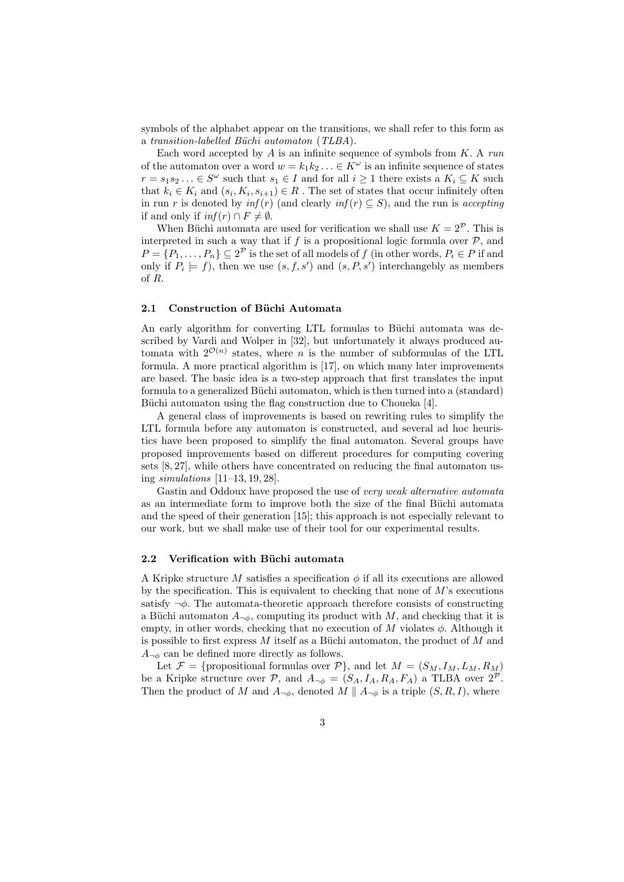symbols of the alphabet appear on the transitions, we shall refer to this form as a transition-labelled Büchi automaton (TLBA).

Each word accepted by  $A$  is an infinite sequence of symbols from  $K$ . A run of the automaton over a word  $w = k_1 k_2 \ldots \in K^{\omega}$  is an infinite sequence of states  $r = s_1 s_2 \ldots \in S^{\omega}$  such that  $s_1 \in I$  and for all  $i \geq 1$  there exists a  $K_i \subseteq K$  such that  $k_i \in K_i$  and  $(s_i, K_i, s_{i+1}) \in R$ . The set of states that occur infinitely often in run r is denoted by  $\inf(r)$  (and clearly  $\inf(r) \subseteq S$ ), and the run is accepting if and only if  $inf(r) \cap F \neq \emptyset$ .

When Büchi automata are used for verification we shall use  $K = 2^{\mathcal{P}}$ . This is interpreted in such a way that if f is a propositional logic formula over  $P$ , and  $P = \{P_1, \ldots, P_n\} \subseteq 2^{\mathcal{P}}$  is the set of all models of f (in other words,  $P_i \in P$  if and only if  $P_i \models f$ , then we use  $(s, f, s')$  and  $(s, P, s')$  interchangebly as members of R.

#### 2.1 Construction of Büchi Automata

An early algorithm for converting LTL formulas to Büchi automata was described by Vardi and Wolper in [32], but unfortunately it always produced automata with  $2^{\mathcal{O}(n)}$  states, where n is the number of subformulas of the LTL formula. A more practical algorithm is [17], on which many later improvements are based. The basic idea is a two-step approach that first translates the input formula to a generalized Büchi automaton, which is then turned into a (standard) Büchi automaton using the flag construction due to Choueka [4].

A general class of improvements is based on rewriting rules to simplify the LTL formula before any automaton is constructed, and several ad hoc heuristics have been proposed to simplify the final automaton. Several groups have proposed improvements based on different procedures for computing covering sets [8, 27], while others have concentrated on reducing the final automaton using simulations  $[11–13, 19, 28]$ .

Gastin and Oddoux have proposed the use of very weak alternative automata as an intermediate form to improve both the size of the final Büchi automata and the speed of their generation [15]; this approach is not especially relevant to our work, but we shall make use of their tool for our experimental results.

#### 2.2 Verification with Büchi automata

A Kripke structure M satisfies a specification  $\phi$  if all its executions are allowed by the specification. This is equivalent to checking that none of  $M$ 's executions satisfy  $\neg \phi$ . The automata-theoretic approach therefore consists of constructing a Büchi automaton  $A_{\neg\phi}$ , computing its product with M, and checking that it is empty, in other words, checking that no execution of M violates  $\phi$ . Although it is possible to first express  $M$  itself as a Büchi automaton, the product of  $M$  and  $A_{\neg\phi}$  can be defined more directly as follows.

Let  $\mathcal{F} = \{$ propositional formulas over  $\mathcal{P}\},$  and let  $M = (S_M, I_M, L_M, R_M)$ be a Kripke structure over P, and  $A_{\neg \phi} = (S_A, I_A, R_A, F_A)$  a TLBA over  $2^{\mathcal{P}}$ . Then the product of M and  $A_{\neg \phi}$ , denoted M ||  $A_{\neg \phi}$  is a triple  $(S, R, I)$ , where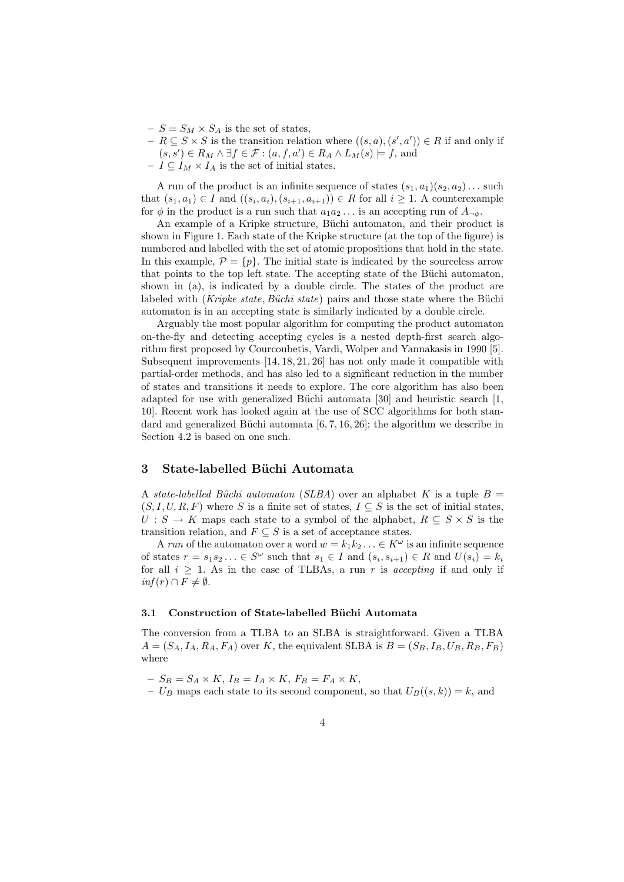- $S=S_M\times S_A$  is the set of states,
- $-R \subseteq S \times S$  is the transition relation where  $((s, a), (s', a')) \in R$  if and only if  $(s, s') \in R_M \wedge \exists f \in \mathcal{F} : (a, f, a') \in R_A \wedge L_M(s) \models f$ , and
- $I \subseteq I_M \times I_A$  is the set of initial states.

A run of the product is an infinite sequence of states  $(s_1, a_1)(s_2, a_2) \dots$  such that  $(s_1, a_1) \in I$  and  $((s_i, a_i), (s_{i+1}, a_{i+1})) \in R$  for all  $i \geq 1$ . A counterexample for  $\phi$  in the product is a run such that  $a_1 a_2 \dots$  is an accepting run of  $A_{\neg \phi}$ .

An example of a Kripke structure, Büchi automaton, and their product is shown in Figure 1. Each state of the Kripke structure (at the top of the figure) is numbered and labelled with the set of atomic propositions that hold in the state. In this example,  $\mathcal{P} = \{p\}$ . The initial state is indicated by the sourceless arrow that points to the top left state. The accepting state of the Büchi automaton, shown in (a), is indicated by a double circle. The states of the product are labeled with  $(Kripke state, Büchi state)$  pairs and those state where the Büchi automaton is in an accepting state is similarly indicated by a double circle.

Arguably the most popular algorithm for computing the product automaton on-the-fly and detecting accepting cycles is a nested depth-first search algorithm first proposed by Courcoubetis, Vardi, Wolper and Yannakasis in 1990 [5]. Subsequent improvements [14, 18, 21, 26] has not only made it compatible with partial-order methods, and has also led to a significant reduction in the number of states and transitions it needs to explore. The core algorithm has also been adapted for use with generalized Büchi automata  $[30]$  and heuristic search  $[1,$ 10]. Recent work has looked again at the use of SCC algorithms for both standard and generalized Büchi automata  $[6, 7, 16, 26]$ ; the algorithm we describe in Section 4.2 is based on one such.

# 3 State-labelled Büchi Automata

A state-labelled Büchi automaton (SLBA) over an alphabet K is a tuple  $B =$  $(S, I, U, R, F)$  where S is a finite set of states,  $I \subseteq S$  is the set of initial states,  $U: S \to K$  maps each state to a symbol of the alphabet,  $R \subseteq S \times S$  is the transition relation, and  $F \subseteq S$  is a set of acceptance states.

A run of the automaton over a word  $w = k_1 k_2 \ldots \in K^{\omega}$  is an infinite sequence of states  $r = s_1 s_2 \ldots \in S^{\omega}$  such that  $s_1 \in I$  and  $(s_i, s_{i+1}) \in R$  and  $U(s_i) = k_i$ for all  $i > 1$ . As in the case of TLBAs, a run r is accepting if and only if  $inf(r) \cap F \neq \emptyset$ .

#### 3.1 Construction of State-labelled Büchi Automata

The conversion from a TLBA to an SLBA is straightforward. Given a TLBA  $A = (S_A, I_A, R_A, F_A)$  over K, the equivalent SLBA is  $B = (S_B, I_B, U_B, R_B, F_B)$ where

 $-S_B = S_A \times K$ ,  $I_B = I_A \times K$ ,  $F_B = F_A \times K$ ,

–  $U_B$  maps each state to its second component, so that  $U_B((s, k)) = k$ , and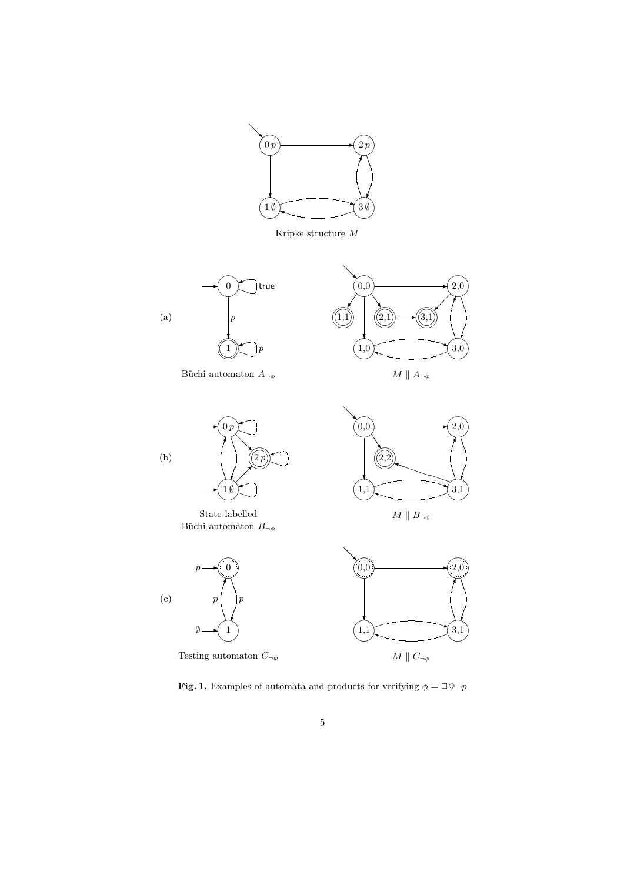

Kripke structure  $\cal M$ 



Büchi automaton $A_{\neg \phi}$ 



State-labelled Büchi automaton $B_{\neg \phi}$ 



(b)

Testing automaton  $C_{\neg\phi}$ 



 $M \parallel A_{\neg \phi}$ 







Fig. 1. Examples of automata and products for verifying  $\phi = \Box \Diamond \neg p$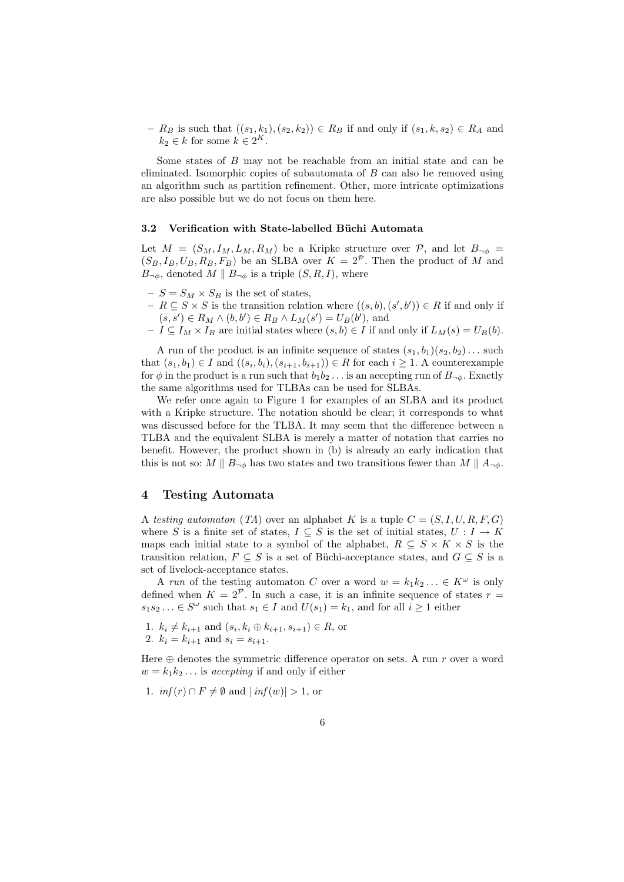–  $R_B$  is such that  $((s_1, k_1), (s_2, k_2)) ∈ R_B$  if and only if  $(s_1, k, s_2) ∈ R_A$  and  $k_2 \in k$  for some  $k \in 2^K$ .

Some states of B may not be reachable from an initial state and can be eliminated. Isomorphic copies of subautomata of  $B$  can also be removed using an algorithm such as partition refinement. Other, more intricate optimizations are also possible but we do not focus on them here.

#### 3.2 Verification with State-labelled Büchi Automata

Let  $M = (S_M, I_M, L_M, R_M)$  be a Kripke structure over P, and let  $B_{\neg \phi}$  $(S_B, I_B, U_B, R_B, F_B)$  be an SLBA over  $K = 2^{\mathcal{P}}$ . Then the product of M and  $B_{\neg \phi}$ , denoted M ||  $B_{\neg \phi}$  is a triple  $(S, R, I)$ , where

- $S = S_M \times S_B$  is the set of states,
- $-R \subseteq S \times S$  is the transition relation where  $((s, b), (s', b')) \in R$  if and only if  $(s, s') \in R_M \wedge (b, b') \in R_B \wedge L_M(s') = U_B(b')$ , and
- $-I \subseteq I_M \times I_B$  are initial states where  $(s, b) \in I$  if and only if  $L_M(s) = U_B(b)$ .

A run of the product is an infinite sequence of states  $(s_1, b_1)(s_2, b_2)$ ... such that  $(s_1, b_1) \in I$  and  $((s_i, b_i), (s_{i+1}, b_{i+1})) \in R$  for each  $i \geq 1$ . A counterexample for  $\phi$  in the product is a run such that  $b_1b_2 \ldots$  is an accepting run of  $B_{\neg \phi}$ . Exactly the same algorithms used for TLBAs can be used for SLBAs.

We refer once again to Figure 1 for examples of an SLBA and its product with a Kripke structure. The notation should be clear; it corresponds to what was discussed before for the TLBA. It may seem that the difference between a TLBA and the equivalent SLBA is merely a matter of notation that carries no benefit. However, the product shown in (b) is already an early indication that this is not so: M  $|| B_{\neg \phi}$  has two states and two transitions fewer than M  $|| A_{\neg \phi}$ .

#### 4 Testing Automata

A testing automaton (TA) over an alphabet K is a tuple  $C = (S, I, U, R, F, G)$ where S is a finite set of states,  $I \subseteq S$  is the set of initial states,  $U : I \to K$ maps each initial state to a symbol of the alphabet,  $R \subseteq S \times K \times S$  is the transition relation,  $F \subseteq S$  is a set of Büchi-acceptance states, and  $G \subseteq S$  is a set of livelock-acceptance states.

A run of the testing automaton C over a word  $w = k_1 k_2 ... \in K^{\omega}$  is only defined when  $K = 2^{\mathcal{P}}$ . In such a case, it is an infinite sequence of states  $r =$  $s_1 s_2 \ldots \in S^{\omega}$  such that  $s_1 \in I$  and  $U(s_1) = k_1$ , and for all  $i \ge 1$  either

- 1.  $k_i \neq k_{i+1}$  and  $(s_i, k_i \oplus k_{i+1}, s_{i+1}) \in R$ , or
- 2.  $k_i = k_{i+1}$  and  $s_i = s_{i+1}$ .

Here  $\oplus$  denotes the symmetric difference operator on sets. A run r over a word  $w = k_1 k_2 \dots$  is accepting if and only if either

1.  $inf(r) \cap F \neq \emptyset$  and  $|inf(w)| > 1$ , or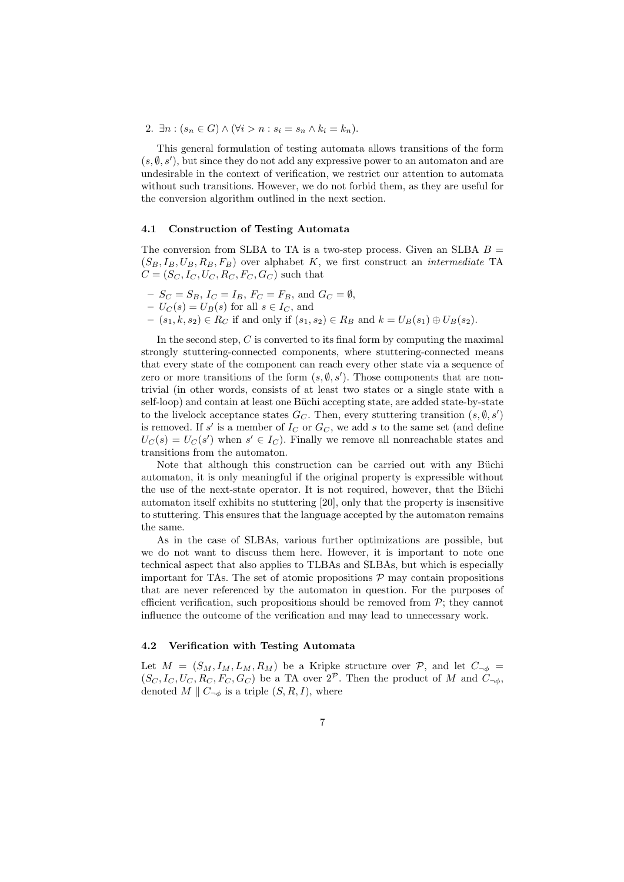2.  $\exists n : (s_n \in G) \wedge (\forall i > n : s_i = s_n \wedge k_i = k_n).$ 

This general formulation of testing automata allows transitions of the form  $(s, \emptyset, s')$ , but since they do not add any expressive power to an automaton and are undesirable in the context of verification, we restrict our attention to automata without such transitions. However, we do not forbid them, as they are useful for the conversion algorithm outlined in the next section.

#### 4.1 Construction of Testing Automata

The conversion from SLBA to TA is a two-step process. Given an SLBA  $B =$  $(S_B, I_B, U_B, R_B, F_B)$  over alphabet K, we first construct an *intermediate* TA  $C = (S_C, I_C, U_C, R_C, F_C, G_C)$  such that

 $-S_C = S_B$ ,  $I_C = I_B$ ,  $F_C = F_B$ , and  $G_C = \emptyset$ ,

–  $U_C(s) = U_B(s)$  for all  $s \in I_C$ , and

 $-(s_1, k, s_2) \in R_C$  if and only if  $(s_1, s_2) \in R_B$  and  $k = U_B(s_1) \oplus U_B(s_2)$ .

In the second step,  $C$  is converted to its final form by computing the maximal strongly stuttering-connected components, where stuttering-connected means that every state of the component can reach every other state via a sequence of zero or more transitions of the form  $(s, \emptyset, s')$ . Those components that are nontrivial (in other words, consists of at least two states or a single state with a self-loop) and contain at least one Büchi accepting state, are added state-by-state to the livelock acceptance states  $G_C$ . Then, every stuttering transition  $(s, \emptyset, s')$ is removed. If s' is a member of  $I_C$  or  $G_C$ , we add s to the same set (and define  $U_C(s) = U_C(s')$  when  $s' \in I_C$ ). Finally we remove all nonreachable states and transitions from the automaton.

Note that although this construction can be carried out with any Büchi automaton, it is only meaningful if the original property is expressible without the use of the next-state operator. It is not required, however, that the Büchi automaton itself exhibits no stuttering [20], only that the property is insensitive to stuttering. This ensures that the language accepted by the automaton remains the same.

As in the case of SLBAs, various further optimizations are possible, but we do not want to discuss them here. However, it is important to note one technical aspect that also applies to TLBAs and SLBAs, but which is especially important for TAs. The set of atomic propositions  $P$  may contain propositions that are never referenced by the automaton in question. For the purposes of efficient verification, such propositions should be removed from  $\mathcal{P}$ ; they cannot influence the outcome of the verification and may lead to unnecessary work.

#### 4.2 Verification with Testing Automata

Let  $M = (S_M, I_M, L_M, R_M)$  be a Kripke structure over P, and let  $C_{\neg \phi}$  $(S_C, I_C, U_C, R_C, F_C, G_C)$  be a TA over  $2^{\mathcal{P}}$ . Then the product of M and  $C_{\neg \phi}$ , denoted  $M \parallel C_{\neg \phi}$  is a triple  $(S, R, I)$ , where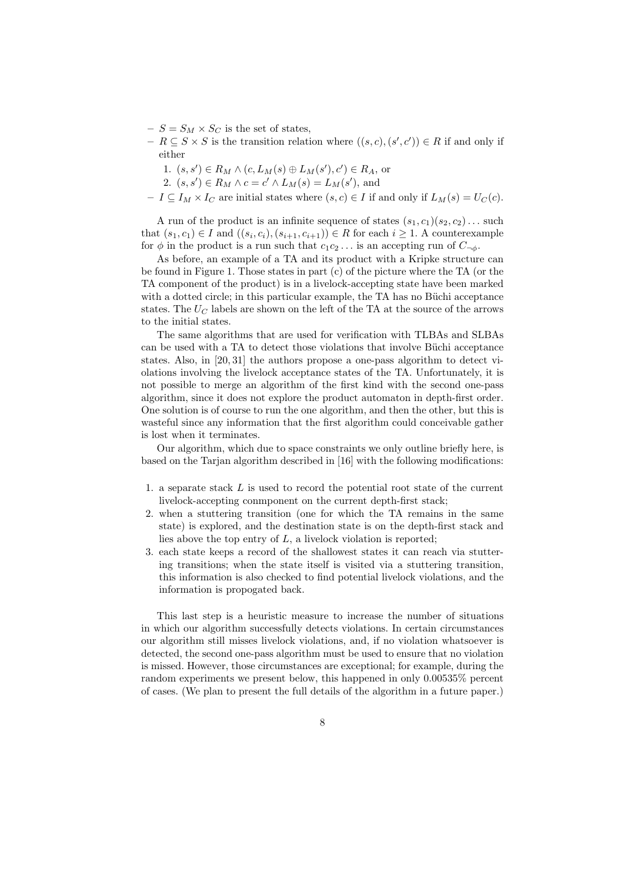- $S=S_M\times S_C$  is the set of states,
- $-R \subseteq S \times S$  is the transition relation where  $((s, c), (s', c')) \in R$  if and only if either
	- 1.  $(s, s') \in R_M \wedge (c, L_M(s) \oplus L_M(s'), c') \in R_A$ , or
- 2.  $(s, s') \in R_M \wedge c = c' \wedge L_M(s) = L_M(s')$ , and
- $-I \subseteq I_M \times I_C$  are initial states where  $(s, c) \in I$  if and only if  $L_M(s) = U_C(c)$ .

A run of the product is an infinite sequence of states  $(s_1, c_1)(s_2, c_2) \dots$  such that  $(s_1, c_1) \in I$  and  $((s_i, c_i), (s_{i+1}, c_{i+1})) \in R$  for each  $i \geq 1$ . A counterexample for  $\phi$  in the product is a run such that  $c_1c_2 \ldots$  is an accepting run of  $C_{\neg \phi}$ .

As before, an example of a TA and its product with a Kripke structure can be found in Figure 1. Those states in part (c) of the picture where the TA (or the TA component of the product) is in a livelock-accepting state have been marked with a dotted circle; in this particular example, the TA has no Büchi acceptance states. The  $U_C$  labels are shown on the left of the TA at the source of the arrows to the initial states.

The same algorithms that are used for verification with TLBAs and SLBAs can be used with a TA to detect those violations that involve Büchi acceptance states. Also, in [20, 31] the authors propose a one-pass algorithm to detect violations involving the livelock acceptance states of the TA. Unfortunately, it is not possible to merge an algorithm of the first kind with the second one-pass algorithm, since it does not explore the product automaton in depth-first order. One solution is of course to run the one algorithm, and then the other, but this is wasteful since any information that the first algorithm could conceivable gather is lost when it terminates.

Our algorithm, which due to space constraints we only outline briefly here, is based on the Tarjan algorithm described in [16] with the following modifications:

- 1. a separate stack L is used to record the potential root state of the current livelock-accepting conmponent on the current depth-first stack;
- 2. when a stuttering transition (one for which the TA remains in the same state) is explored, and the destination state is on the depth-first stack and lies above the top entry of  $L$ , a livelock violation is reported;
- 3. each state keeps a record of the shallowest states it can reach via stuttering transitions; when the state itself is visited via a stuttering transition, this information is also checked to find potential livelock violations, and the information is propogated back.

This last step is a heuristic measure to increase the number of situations in which our algorithm successfully detects violations. In certain circumstances our algorithm still misses livelock violations, and, if no violation whatsoever is detected, the second one-pass algorithm must be used to ensure that no violation is missed. However, those circumstances are exceptional; for example, during the random experiments we present below, this happened in only 0.00535% percent of cases. (We plan to present the full details of the algorithm in a future paper.)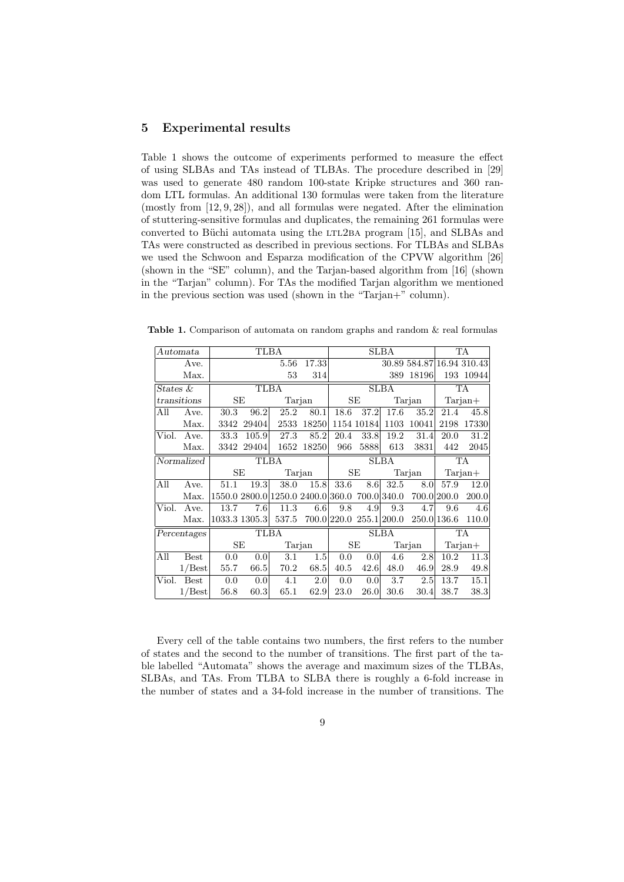## 5 Experimental results

Table 1 shows the outcome of experiments performed to measure the effect of using SLBAs and TAs instead of TLBAs. The procedure described in [29] was used to generate 480 random 100-state Kripke structures and 360 random LTL formulas. An additional 130 formulas were taken from the literature (mostly from [12, 9, 28]), and all formulas were negated. After the elimination of stuttering-sensitive formulas and duplicates, the remaining 261 formulas were converted to Büchi automata using the LTL2BA program  $[15]$ , and SLBAs and TAs were constructed as described in previous sections. For TLBAs and SLBAs we used the Schwoon and Esparza modification of the CPVW algorithm [26] (shown in the "SE" column), and the Tarjan-based algorithm from [16] (shown in the "Tarjan" column). For TAs the modified Tarjan algorithm we mentioned in the previous section was used (shown in the "Tarjan+" column).

| $\it{Automata}$ |             | TLBA        |               |                                   |         | SLBA        |             |             | TA                        |             |       |  |
|-----------------|-------------|-------------|---------------|-----------------------------------|---------|-------------|-------------|-------------|---------------------------|-------------|-------|--|
|                 | Ave.        |             |               | 5.56                              | 17.33   |             |             |             | 30.89 584.87 16.94 310.43 |             |       |  |
|                 | Max.        |             |               | 53                                | 314     |             |             | 389         | 18196                     | 193         | 10944 |  |
| States &        |             | <b>TLBA</b> |               |                                   |         | <b>SLBA</b> |             |             | TA                        |             |       |  |
| transitions     |             |             | SE            | Tarjan                            |         | SЕ          |             | Tarjan      |                           | $Tarian+$   |       |  |
| All             | Ave.        | 30.3        | 96.2          | 25.2                              | 80.1    | 18.6        | 37.2        | 17.6        | 35.2                      | 21.4        | 45.8  |  |
|                 | Max.        | 3342        | 29404         | 2533                              | 18250   |             | 1154 10184  | 1103        | 10041                     | 2198        | 17330 |  |
| Viol.           | Ave.        | 33.3        | 105.9         | 27.3                              | 85.2    | 20.4        | 33.8        | 19.2        | 31.4                      | 20.0        | 31.2  |  |
|                 | Max.        | 3342        | 29404         | 1652                              | 18250   | 966         | 5888        | 613         | 3831                      | 442         | 2045  |  |
|                 | Normalized  |             | <b>TLBA</b>   |                                   |         |             | <b>SLBA</b> |             |                           | TA          |       |  |
|                 |             |             | SЕ            | Tarjan                            |         | SЕ          |             | Tarjan      |                           | $Tarian+$   |       |  |
| All             | Ave.        | 51.1        | 19.3          | 38.0                              | 15.8    | 33.6        | 8.6         | 32.5        | 8.0                       | 57.9        | 12.0  |  |
|                 | Max.        |             |               | 1550.0 2800.0 1250.0 2400.0 360.0 |         |             |             | 700.0 340.0 |                           | 700.0 200.0 | 200.0 |  |
| Viol.           | Ave.        | 13.7        | 7.6           | 11.3                              | 6.6     | 9.8         | 4.9         | 9.3         | 4.7                       | 9.6         | 4.6   |  |
|                 | Max.        |             | 1033.3 1305.3 | 537.5                             |         | 700.0 220.0 |             | 255.1 200.0 |                           | 250.0 136.6 | 110.0 |  |
|                 | Percentages |             | <b>TLBA</b>   |                                   |         |             | <b>SLBA</b> |             |                           |             | TA    |  |
|                 |             | SE          |               |                                   | Tarjan  | SЕ          |             | Tarjan      |                           | $Tarian+$   |       |  |
| All             | <b>Best</b> | 0.0         | 0.0           | 3.1                               | 1.5     | 0.0         | 0.0         | 4.6         | $2.8\,$                   | 10.2        | 11.3  |  |
|                 | 1/Best      | 55.7        | 66.5          | 70.2                              | 68.5    | 40.5        | 42.6        | 48.0        | 46.9                      | 28.9        | 49.8  |  |
| Viol.           | <b>Best</b> | 0.0         | 0.0           | 4.1                               | $2.0\,$ | 0.0         | 0.0         | 3.7         | 2.5                       | 13.7        | 15.1  |  |
|                 | 1/Best      | 56.8        | 60.3          | 65.1                              | 62.9    | 23.0        | $26.0\,$    | 30.6        | 30.4                      | 38.7        | 38.3  |  |

**Table 1.** Comparison of automata on random graphs and random  $\&$  real formulas

Every cell of the table contains two numbers, the first refers to the number of states and the second to the number of transitions. The first part of the table labelled "Automata" shows the average and maximum sizes of the TLBAs, SLBAs, and TAs. From TLBA to SLBA there is roughly a 6-fold increase in the number of states and a 34-fold increase in the number of transitions. The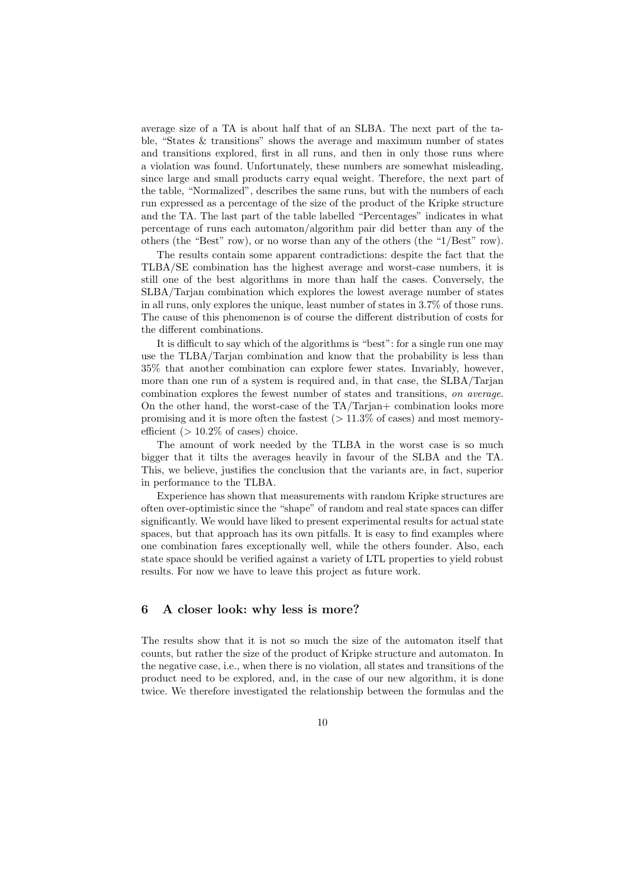average size of a TA is about half that of an SLBA. The next part of the table, "States & transitions" shows the average and maximum number of states and transitions explored, first in all runs, and then in only those runs where a violation was found. Unfortunately, these numbers are somewhat misleading, since large and small products carry equal weight. Therefore, the next part of the table, "Normalized", describes the same runs, but with the numbers of each run expressed as a percentage of the size of the product of the Kripke structure and the TA. The last part of the table labelled "Percentages" indicates in what percentage of runs each automaton/algorithm pair did better than any of the others (the "Best" row), or no worse than any of the others (the "1/Best" row).

The results contain some apparent contradictions: despite the fact that the TLBA/SE combination has the highest average and worst-case numbers, it is still one of the best algorithms in more than half the cases. Conversely, the SLBA/Tarjan combination which explores the lowest average number of states in all runs, only explores the unique, least number of states in 3.7% of those runs. The cause of this phenomenon is of course the different distribution of costs for the different combinations.

It is difficult to say which of the algorithms is "best": for a single run one may use the TLBA/Tarjan combination and know that the probability is less than 35% that another combination can explore fewer states. Invariably, however, more than one run of a system is required and, in that case, the SLBA/Tarjan combination explores the fewest number of states and transitions, on average. On the other hand, the worst-case of the TA/Tarjan+ combination looks more promising and it is more often the fastest  $(>11.3\%$  of cases) and most memoryefficient  $(>10.2\%$  of cases) choice.

The amount of work needed by the TLBA in the worst case is so much bigger that it tilts the averages heavily in favour of the SLBA and the TA. This, we believe, justifies the conclusion that the variants are, in fact, superior in performance to the TLBA.

Experience has shown that measurements with random Kripke structures are often over-optimistic since the "shape" of random and real state spaces can differ significantly. We would have liked to present experimental results for actual state spaces, but that approach has its own pitfalls. It is easy to find examples where one combination fares exceptionally well, while the others founder. Also, each state space should be verified against a variety of LTL properties to yield robust results. For now we have to leave this project as future work.

## 6 A closer look: why less is more?

The results show that it is not so much the size of the automaton itself that counts, but rather the size of the product of Kripke structure and automaton. In the negative case, i.e., when there is no violation, all states and transitions of the product need to be explored, and, in the case of our new algorithm, it is done twice. We therefore investigated the relationship between the formulas and the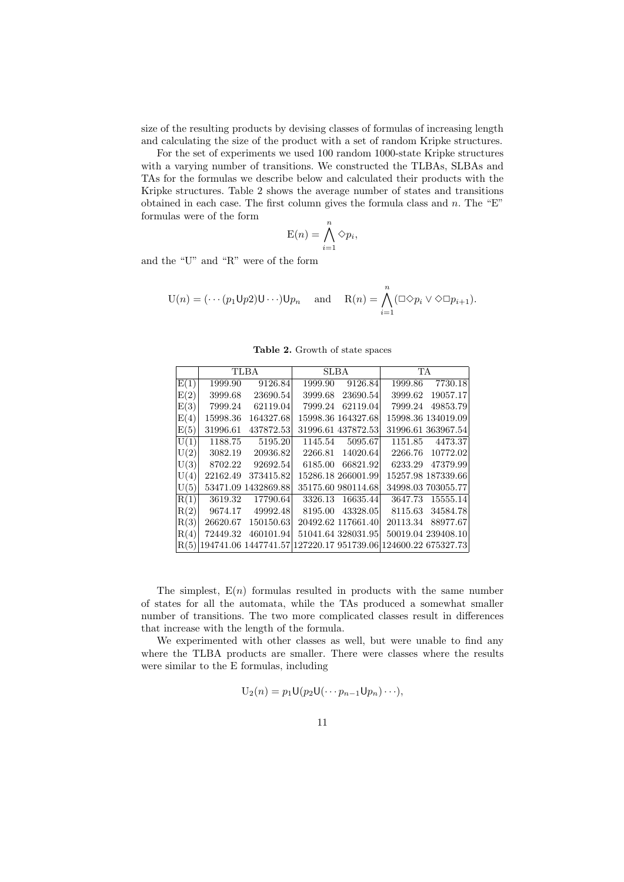size of the resulting products by devising classes of formulas of increasing length and calculating the size of the product with a set of random Kripke structures.

For the set of experiments we used 100 random 1000-state Kripke structures with a varying number of transitions. We constructed the TLBAs, SLBAs and TAs for the formulas we describe below and calculated their products with the Kripke structures. Table 2 shows the average number of states and transitions obtained in each case. The first column gives the formula class and  $n$ . The "E" formulas were of the form

$$
E(n) = \bigwedge_{i=1}^{n} \Diamond p_i,
$$

and the "U" and "R" were of the form

$$
U(n) = (\cdots (p_1 \mathsf{U} p2) \mathsf{U} \cdots) \mathsf{U} p_n \quad \text{and} \quad R(n) = \bigwedge_{i=1}^n (\Box \Diamond p_i \vee \Diamond \Box p_{i+1}).
$$

Table 2. Growth of state spaces

|      |          | TLBA                                     |         | <b>SLBA</b>        | <b>TA</b> |                     |  |
|------|----------|------------------------------------------|---------|--------------------|-----------|---------------------|--|
| E(1) | 1999.90  | 9126.84                                  | 1999.90 | 9126.84            | 1999.86   | 7730.18             |  |
| E(2) | 3999.68  | 23690.54                                 | 3999.68 | 23690.54           | 3999.62   | 19057.17            |  |
| E(3) | 7999.24  | 62119.04                                 | 7999.24 | 62119.04           | 7999.24   | 49853.79            |  |
| E(4) | 15998.36 | 164327.68                                |         | 15998.36 164327.68 |           | 15998.36 134019.09  |  |
| E(5) | 31996.61 | 437872.53                                |         | 31996.61 437872.53 |           | 31996.61 363967.54  |  |
| U(1) | 1188.75  | 5195.20                                  | 1145.54 | 5095.67            | 1151.85   | 4473.37             |  |
| U(2) | 3082.19  | 20936.82                                 | 2266.81 | 14020.64           | 2266.76   | 10772.02            |  |
| U(3) | 8702.22  | 92692.54                                 | 6185.00 | 66821.92           | 6233.29   | 47379.99            |  |
| U(4) | 22162.49 | 373415.82                                |         | 15286.18 266001.99 |           | 15257.98 187339.66  |  |
| U(5) |          | 53471.09 1432869.88                      |         | 35175.60 980114.68 |           | 34998.03 703055.77  |  |
| R(1) | 3619.32  | 17790.64                                 | 3326.13 | 16635.44           |           | 3647.73 15555.14    |  |
| R(2) | 9674.17  | 49992.48                                 | 8195.00 | 43328.05           | 8115.63   | 34584.78            |  |
| R(3) | 26620.67 | 150150.63                                |         | 20492.62 117661.40 | 20113.34  | 88977.67            |  |
| R(4) | 72449.32 | 460101.94                                |         | 51041.64 328031.95 |           | 50019.04 239408.10  |  |
| R(5) |          | 194741.06 1447741.57 127220.17 951739.06 |         |                    |           | 124600.22 675327.73 |  |

The simplest,  $E(n)$  formulas resulted in products with the same number of states for all the automata, while the TAs produced a somewhat smaller number of transitions. The two more complicated classes result in differences that increase with the length of the formula.

We experimented with other classes as well, but were unable to find any where the TLBA products are smaller. There were classes where the results were similar to the E formulas, including

$$
U_2(n) = p_1 U(p_2 U(\cdots p_{n-1} Up_n) \cdots),
$$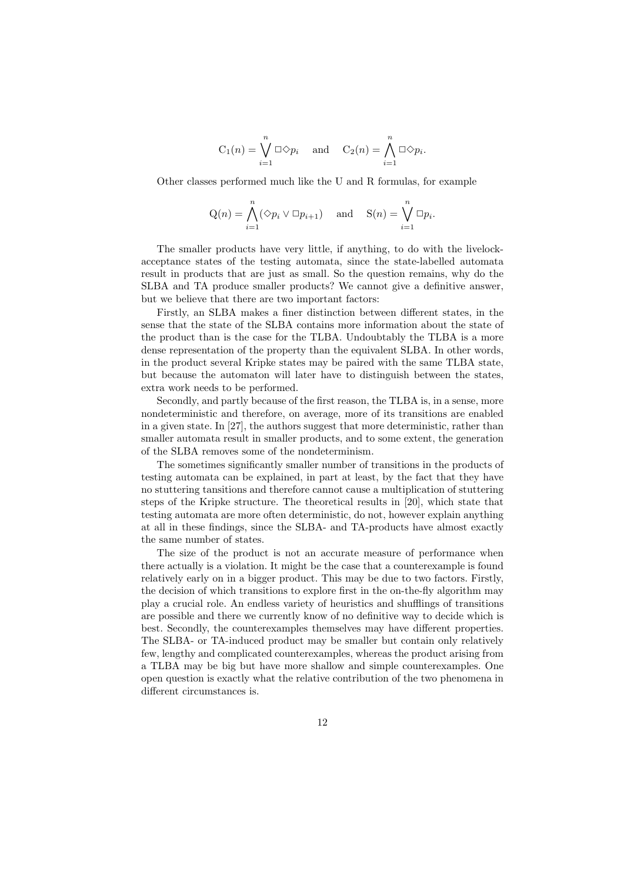$$
C_1(n) = \bigvee_{i=1}^{n} \Box \Diamond p_i
$$
 and  $C_2(n) = \bigwedge_{i=1}^{n} \Box \Diamond p_i$ .

Other classes performed much like the U and R formulas, for example

$$
Q(n) = \bigwedge_{i=1}^{n} (\Diamond p_i \vee \Box p_{i+1}) \quad \text{ and } \quad S(n) = \bigvee_{i=1}^{n} \Box p_i.
$$

The smaller products have very little, if anything, to do with the livelockacceptance states of the testing automata, since the state-labelled automata result in products that are just as small. So the question remains, why do the SLBA and TA produce smaller products? We cannot give a definitive answer, but we believe that there are two important factors:

Firstly, an SLBA makes a finer distinction between different states, in the sense that the state of the SLBA contains more information about the state of the product than is the case for the TLBA. Undoubtably the TLBA is a more dense representation of the property than the equivalent SLBA. In other words, in the product several Kripke states may be paired with the same TLBA state, but because the automaton will later have to distinguish between the states, extra work needs to be performed.

Secondly, and partly because of the first reason, the TLBA is, in a sense, more nondeterministic and therefore, on average, more of its transitions are enabled in a given state. In [27], the authors suggest that more deterministic, rather than smaller automata result in smaller products, and to some extent, the generation of the SLBA removes some of the nondeterminism.

The sometimes significantly smaller number of transitions in the products of testing automata can be explained, in part at least, by the fact that they have no stuttering tansitions and therefore cannot cause a multiplication of stuttering steps of the Kripke structure. The theoretical results in [20], which state that testing automata are more often deterministic, do not, however explain anything at all in these findings, since the SLBA- and TA-products have almost exactly the same number of states.

The size of the product is not an accurate measure of performance when there actually is a violation. It might be the case that a counterexample is found relatively early on in a bigger product. This may be due to two factors. Firstly, the decision of which transitions to explore first in the on-the-fly algorithm may play a crucial role. An endless variety of heuristics and shufflings of transitions are possible and there we currently know of no definitive way to decide which is best. Secondly, the counterexamples themselves may have different properties. The SLBA- or TA-induced product may be smaller but contain only relatively few, lengthy and complicated counterexamples, whereas the product arising from a TLBA may be big but have more shallow and simple counterexamples. One open question is exactly what the relative contribution of the two phenomena in different circumstances is.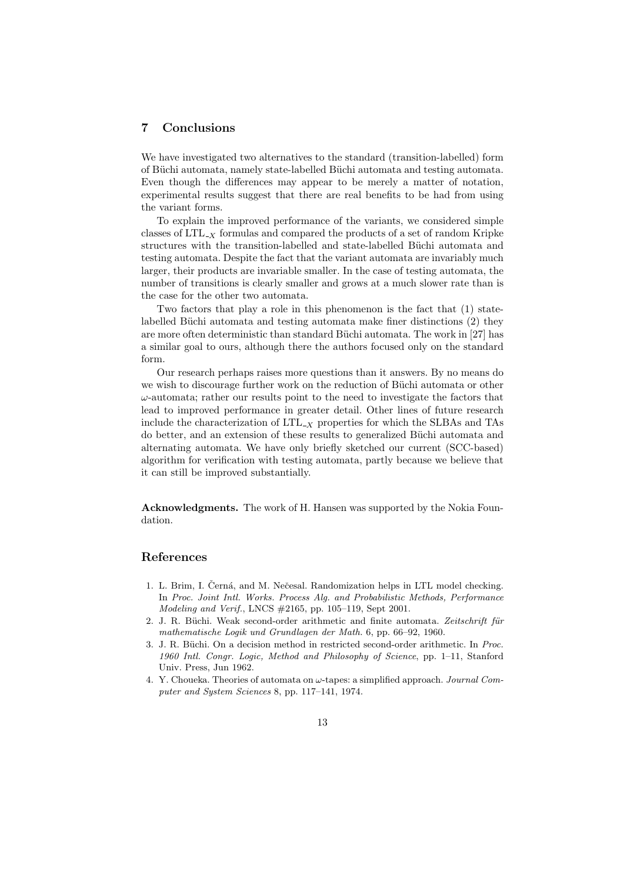# 7 Conclusions

We have investigated two alternatives to the standard (transition-labelled) form of Büchi automata, namely state-labelled Büchi automata and testing automata. Even though the differences may appear to be merely a matter of notation, experimental results suggest that there are real benefits to be had from using the variant forms.

To explain the improved performance of the variants, we considered simple classes of  $LTL_{X}$  formulas and compared the products of a set of random Kripke structures with the transition-labelled and state-labelled Büchi automata and testing automata. Despite the fact that the variant automata are invariably much larger, their products are invariable smaller. In the case of testing automata, the number of transitions is clearly smaller and grows at a much slower rate than is the case for the other two automata.

Two factors that play a role in this phenomenon is the fact that (1) statelabelled Büchi automata and testing automata make finer distinctions  $(2)$  they are more often deterministic than standard Büchi automata. The work in [27] has a similar goal to ours, although there the authors focused only on the standard form.

Our research perhaps raises more questions than it answers. By no means do we wish to discourage further work on the reduction of Büchi automata or other  $\omega$ -automata; rather our results point to the need to investigate the factors that lead to improved performance in greater detail. Other lines of future research include the characterization of  $LTL<sub>X</sub>$  properties for which the SLBAs and TAs do better, and an extension of these results to generalized Büchi automata and alternating automata. We have only briefly sketched our current (SCC-based) algorithm for verification with testing automata, partly because we believe that it can still be improved substantially.

Acknowledgments. The work of H. Hansen was supported by the Nokia Foundation.

## References

- 1. L. Brim, I. Černá, and M. Nečesal. Randomization helps in LTL model checking. In Proc. Joint Intl. Works. Process Alg. and Probabilistic Methods, Performance Modeling and Verif., LNCS #2165, pp. 105–119, Sept 2001.
- 2. J. R. Büchi. Weak second-order arithmetic and finite automata. Zeitschrift für mathematische Logik und Grundlagen der Math. 6, pp. 66–92, 1960.
- 3. J. R. Büchi. On a decision method in restricted second-order arithmetic. In Proc. 1960 Intl. Congr. Logic, Method and Philosophy of Science, pp. 1–11, Stanford Univ. Press, Jun 1962.
- 4. Y. Choueka. Theories of automata on  $\omega$ -tapes: a simplified approach. Journal Computer and System Sciences 8, pp. 117–141, 1974.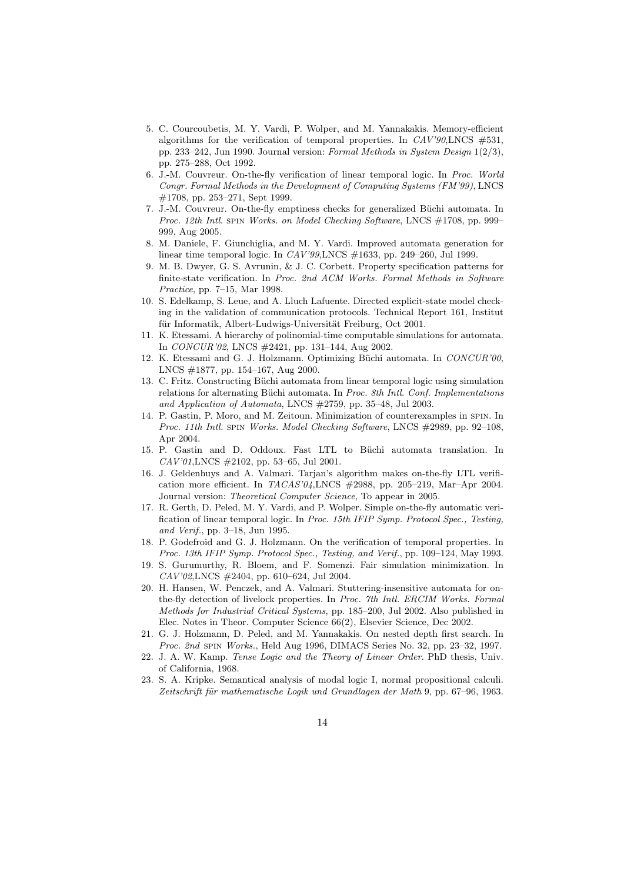- 5. C. Courcoubetis, M. Y. Vardi, P. Wolper, and M. Yannakakis. Memory-efficient algorithms for the verification of temporal properties. In  $CAV'90,LNCS \#531$ , pp. 233–242, Jun 1990. Journal version: Formal Methods in System Design  $1(2/3)$ , pp. 275–288, Oct 1992.
- 6. J.-M. Couvreur. On-the-fly verification of linear temporal logic. In Proc. World Congr. Formal Methods in the Development of Computing Systems (FM'99), LNCS #1708, pp. 253–271, Sept 1999.
- 7. J.-M. Couvreur. On-the-fly emptiness checks for generalized Büchi automata. In Proc. 12th Intl. spin Works. on Model Checking Software, LNCS #1708, pp. 999-999, Aug 2005.
- 8. M. Daniele, F. Giunchiglia, and M. Y. Vardi. Improved automata generation for linear time temporal logic. In CAV'99,LNCS #1633, pp. 249–260, Jul 1999.
- 9. M. B. Dwyer, G. S. Avrunin, & J. C. Corbett. Property specification patterns for finite-state verification. In Proc. 2nd ACM Works. Formal Methods in Software Practice, pp. 7–15, Mar 1998.
- 10. S. Edelkamp, S. Leue, and A. Lluch Lafuente. Directed explicit-state model checking in the validation of communication protocols. Technical Report 161, Institut für Informatik, Albert-Ludwigs-Universität Freiburg, Oct 2001.
- 11. K. Etessami. A hierarchy of polinomial-time computable simulations for automata. In CONCUR'02, LNCS #2421, pp. 131–144, Aug 2002.
- 12. K. Etessami and G. J. Holzmann. Optimizing Büchi automata. In CONCUR'00, LNCS #1877, pp. 154–167, Aug 2000.
- 13. C. Fritz. Constructing Büchi automata from linear temporal logic using simulation relations for alternating Büchi automata. In Proc. 8th Intl. Conf. Implementations and Application of Automata, LNCS #2759, pp. 35–48, Jul 2003.
- 14. P. Gastin, P. Moro, and M. Zeitoun. Minimization of counterexamples in spin. In Proc. 11th Intl. spin Works. Model Checking Software, LNCS #2989, pp. 92–108, Apr 2004.
- 15. P. Gastin and D. Oddoux. Fast LTL to Büchi automata translation. In  $CAV'01$ , LNCS  $\#2102$ , pp. 53–65, Jul 2001.
- 16. J. Geldenhuys and A. Valmari. Tarjan's algorithm makes on-the-fly LTL verification more efficient. In  $TACAS'04,LNCS \#2988$ , pp. 205–219, Mar–Apr 2004. Journal version: Theoretical Computer Science, To appear in 2005.
- 17. R. Gerth, D. Peled, M. Y. Vardi, and P. Wolper. Simple on-the-fly automatic verification of linear temporal logic. In Proc. 15th IFIP Symp. Protocol Spec., Testing, and Verif., pp. 3–18, Jun 1995.
- 18. P. Godefroid and G. J. Holzmann. On the verification of temporal properties. In Proc. 13th IFIP Symp. Protocol Spec., Testing, and Verif., pp. 109–124, May 1993.
- 19. S. Gurumurthy, R. Bloem, and F. Somenzi. Fair simulation minimization. In CAV'02,LNCS #2404, pp. 610–624, Jul 2004.
- 20. H. Hansen, W. Penczek, and A. Valmari. Stuttering-insensitive automata for onthe-fly detection of livelock properties. In Proc. 7th Intl. ERCIM Works. Formal Methods for Industrial Critical Systems, pp. 185–200, Jul 2002. Also published in Elec. Notes in Theor. Computer Science 66(2), Elsevier Science, Dec 2002.
- 21. G. J. Holzmann, D. Peled, and M. Yannakakis. On nested depth first search. In Proc. 2nd spin Works., Held Aug 1996, DIMACS Series No. 32, pp. 23–32, 1997.
- 22. J. A. W. Kamp. Tense Logic and the Theory of Linear Order. PhD thesis, Univ. of California, 1968.
- 23. S. A. Kripke. Semantical analysis of modal logic I, normal propositional calculi. Zeitschrift für mathematische Logik und Grundlagen der Math 9, pp. 67–96, 1963.